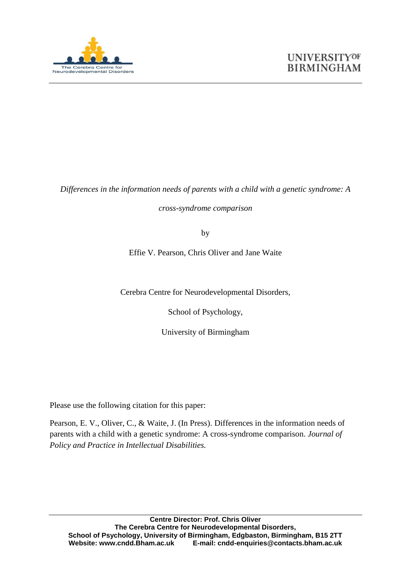

*Differences in the information needs of parents with a child with a genetic syndrome: A* 

*cross-syndrome comparison*

by

Effie V. Pearson, Chris Oliver and Jane Waite

Cerebra Centre for Neurodevelopmental Disorders,

School of Psychology,

University of Birmingham

Please use the following citation for this paper:

Pearson, E. V., Oliver, C., & Waite, J. (In Press). Differences in the information needs of parents with a child with a genetic syndrome: A cross-syndrome comparison. *Journal of Policy and Practice in Intellectual Disabilities.*

**Centre Director: Prof. Chris Oliver The Cerebra Centre for Neurodevelopmental Disorders, School of Psychology, University of Birmingham, Edgbaston, Birmingham, B15 2TT Website: www.cndd.Bham.ac.uk E-mail: cndd-enquiries@contacts.bham.ac.uk**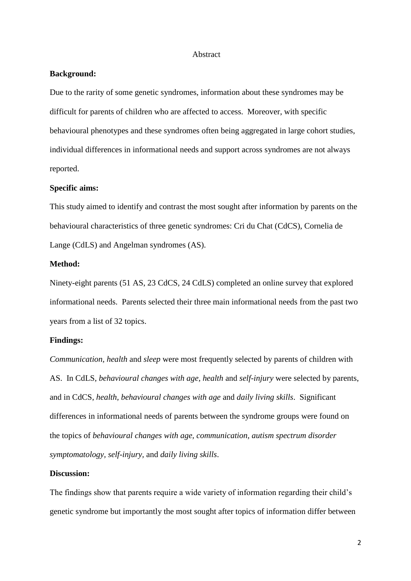#### Abstract

#### **Background:**

Due to the rarity of some genetic syndromes, information about these syndromes may be difficult for parents of children who are affected to access. Moreover, with specific behavioural phenotypes and these syndromes often being aggregated in large cohort studies, individual differences in informational needs and support across syndromes are not always reported.

#### **Specific aims:**

This study aimed to identify and contrast the most sought after information by parents on the behavioural characteristics of three genetic syndromes: Cri du Chat (CdCS), Cornelia de Lange (CdLS) and Angelman syndromes (AS).

#### **Method:**

Ninety-eight parents (51 AS, 23 CdCS, 24 CdLS) completed an online survey that explored informational needs. Parents selected their three main informational needs from the past two years from a list of 32 topics.

#### **Findings:**

*Communication, health* and *sleep* were most frequently selected by parents of children with AS. In CdLS, *behavioural changes with age, health* and *self-injury* were selected by parents, and in CdCS, *health, behavioural changes with age* and *daily living skills*. Significant differences in informational needs of parents between the syndrome groups were found on the topics of *behavioural changes with age, communication, autism spectrum disorder symptomatology, self-injury,* and *daily living skills*.

#### **Discussion:**

The findings show that parents require a wide variety of information regarding their child's genetic syndrome but importantly the most sought after topics of information differ between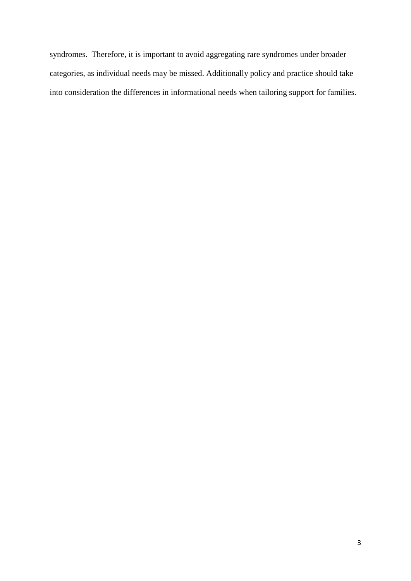syndromes. Therefore, it is important to avoid aggregating rare syndromes under broader categories, as individual needs may be missed. Additionally policy and practice should take into consideration the differences in informational needs when tailoring support for families.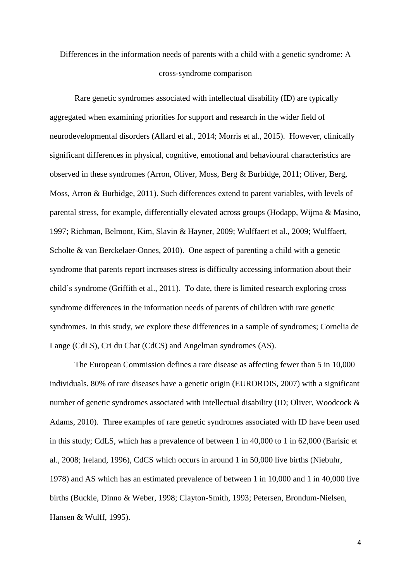## Differences in the information needs of parents with a child with a genetic syndrome: A cross-syndrome comparison

Rare genetic syndromes associated with intellectual disability (ID) are typically aggregated when examining priorities for support and research in the wider field of neurodevelopmental disorders (Allard et al., 2014; Morris et al., 2015). However, clinically significant differences in physical, cognitive, emotional and behavioural characteristics are observed in these syndromes (Arron, Oliver, Moss, Berg & Burbidge, 2011; Oliver, Berg, Moss, Arron & Burbidge, 2011). Such differences extend to parent variables, with levels of parental stress, for example, differentially elevated across groups (Hodapp, Wijma & Masino, 1997; Richman, Belmont, Kim, Slavin & Hayner, 2009; Wulffaert et al., 2009; Wulffaert, Scholte & van Berckelaer-Onnes, 2010). One aspect of parenting a child with a genetic syndrome that parents report increases stress is difficulty accessing information about their child's syndrome (Griffith et al., 2011). To date, there is limited research exploring cross syndrome differences in the information needs of parents of children with rare genetic syndromes. In this study, we explore these differences in a sample of syndromes; Cornelia de Lange (CdLS), Cri du Chat (CdCS) and Angelman syndromes (AS).

The European Commission defines a rare disease as affecting fewer than 5 in 10,000 individuals. 80% of rare diseases have a genetic origin (EURORDIS, 2007) with a significant number of genetic syndromes associated with intellectual disability (ID; Oliver, Woodcock & Adams, 2010). Three examples of rare genetic syndromes associated with ID have been used in this study; CdLS, which has a prevalence of between 1 in 40,000 to 1 in 62,000 (Barisic et al., 2008; Ireland, 1996), CdCS which occurs in around 1 in 50,000 live births (Niebuhr, 1978) and AS which has an estimated prevalence of between 1 in 10,000 and 1 in 40,000 live births (Buckle, Dinno & Weber, 1998; Clayton-Smith, 1993; Petersen, Brondum-Nielsen, Hansen & Wulff, 1995).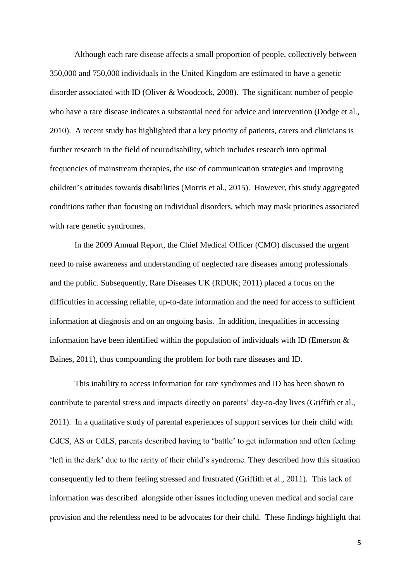Although each rare disease affects a small proportion of people, collectively between 350,000 and 750,000 individuals in the United Kingdom are estimated to have a genetic disorder associated with ID (Oliver & Woodcock, 2008). The significant number of people who have a rare disease indicates a substantial need for advice and intervention (Dodge et al., 2010). A recent study has highlighted that a key priority of patients, carers and clinicians is further research in the field of neurodisability, which includes research into optimal frequencies of mainstream therapies, the use of communication strategies and improving children's attitudes towards disabilities (Morris et al., 2015). However, this study aggregated conditions rather than focusing on individual disorders, which may mask priorities associated with rare genetic syndromes.

In the 2009 Annual Report, the Chief Medical Officer (CMO) discussed the urgent need to raise awareness and understanding of neglected rare diseases among professionals and the public. Subsequently, Rare Diseases UK (RDUK; 2011) placed a focus on the difficulties in accessing reliable, up-to-date information and the need for access to sufficient information at diagnosis and on an ongoing basis. In addition, inequalities in accessing information have been identified within the population of individuals with ID (Emerson  $\&$ Baines, 2011), thus compounding the problem for both rare diseases and ID.

This inability to access information for rare syndromes and ID has been shown to contribute to parental stress and impacts directly on parents' day-to-day lives (Griffith et al., 2011). In a qualitative study of parental experiences of support services for their child with CdCS, AS or CdLS, parents described having to 'battle' to get information and often feeling 'left in the dark' due to the rarity of their child's syndrome. They described how this situation consequently led to them feeling stressed and frustrated (Griffith et al., 2011). This lack of information was described alongside other issues including uneven medical and social care provision and the relentless need to be advocates for their child. These findings highlight that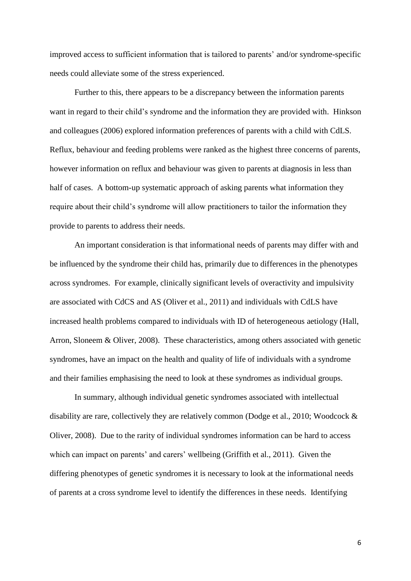improved access to sufficient information that is tailored to parents' and/or syndrome-specific needs could alleviate some of the stress experienced.

Further to this, there appears to be a discrepancy between the information parents want in regard to their child's syndrome and the information they are provided with. Hinkson and colleagues (2006) explored information preferences of parents with a child with CdLS. Reflux, behaviour and feeding problems were ranked as the highest three concerns of parents, however information on reflux and behaviour was given to parents at diagnosis in less than half of cases. A bottom-up systematic approach of asking parents what information they require about their child's syndrome will allow practitioners to tailor the information they provide to parents to address their needs.

An important consideration is that informational needs of parents may differ with and be influenced by the syndrome their child has, primarily due to differences in the phenotypes across syndromes. For example, clinically significant levels of overactivity and impulsivity are associated with CdCS and AS (Oliver et al., 2011) and individuals with CdLS have increased health problems compared to individuals with ID of heterogeneous aetiology (Hall, Arron, Sloneem & Oliver, 2008). These characteristics, among others associated with genetic syndromes, have an impact on the health and quality of life of individuals with a syndrome and their families emphasising the need to look at these syndromes as individual groups.

In summary, although individual genetic syndromes associated with intellectual disability are rare, collectively they are relatively common (Dodge et al., 2010; Woodcock & Oliver, 2008). Due to the rarity of individual syndromes information can be hard to access which can impact on parents' and carers' wellbeing (Griffith et al., 2011). Given the differing phenotypes of genetic syndromes it is necessary to look at the informational needs of parents at a cross syndrome level to identify the differences in these needs. Identifying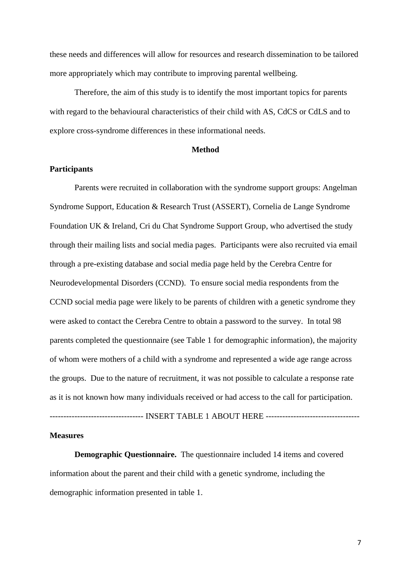these needs and differences will allow for resources and research dissemination to be tailored more appropriately which may contribute to improving parental wellbeing.

Therefore, the aim of this study is to identify the most important topics for parents with regard to the behavioural characteristics of their child with AS, CdCS or CdLS and to explore cross-syndrome differences in these informational needs.

#### **Method**

#### **Participants**

Parents were recruited in collaboration with the syndrome support groups: Angelman Syndrome Support, Education & Research Trust (ASSERT), Cornelia de Lange Syndrome Foundation UK & Ireland, Cri du Chat Syndrome Support Group, who advertised the study through their mailing lists and social media pages. Participants were also recruited via email through a pre-existing database and social media page held by the Cerebra Centre for Neurodevelopmental Disorders (CCND). To ensure social media respondents from the CCND social media page were likely to be parents of children with a genetic syndrome they were asked to contact the Cerebra Centre to obtain a password to the survey. In total 98 parents completed the questionnaire (see Table 1 for demographic information), the majority of whom were mothers of a child with a syndrome and represented a wide age range across the groups. Due to the nature of recruitment, it was not possible to calculate a response rate as it is not known how many individuals received or had access to the call for participation.

---------------------------------- INSERT TABLE 1 ABOUT HERE ----------------------------------

#### **Measures**

**Demographic Questionnaire.** The questionnaire included 14 items and covered information about the parent and their child with a genetic syndrome, including the demographic information presented in table 1.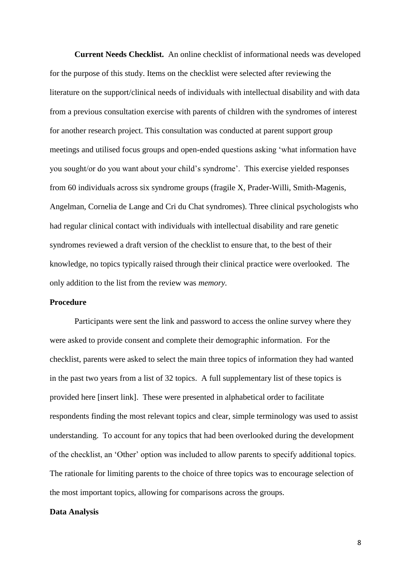**Current Needs Checklist.** An online checklist of informational needs was developed for the purpose of this study. Items on the checklist were selected after reviewing the literature on the support/clinical needs of individuals with intellectual disability and with data from a previous consultation exercise with parents of children with the syndromes of interest for another research project. This consultation was conducted at parent support group meetings and utilised focus groups and open-ended questions asking 'what information have you sought/or do you want about your child's syndrome'. This exercise yielded responses from 60 individuals across six syndrome groups (fragile X, Prader-Willi, Smith-Magenis, Angelman, Cornelia de Lange and Cri du Chat syndromes). Three clinical psychologists who had regular clinical contact with individuals with intellectual disability and rare genetic syndromes reviewed a draft version of the checklist to ensure that, to the best of their knowledge, no topics typically raised through their clinical practice were overlooked. The only addition to the list from the review was *memory.*

#### **Procedure**

Participants were sent the link and password to access the online survey where they were asked to provide consent and complete their demographic information. For the checklist, parents were asked to select the main three topics of information they had wanted in the past two years from a list of 32 topics. A full supplementary list of these topics is provided here [insert link]. These were presented in alphabetical order to facilitate respondents finding the most relevant topics and clear, simple terminology was used to assist understanding. To account for any topics that had been overlooked during the development of the checklist, an 'Other' option was included to allow parents to specify additional topics. The rationale for limiting parents to the choice of three topics was to encourage selection of the most important topics, allowing for comparisons across the groups.

#### **Data Analysis**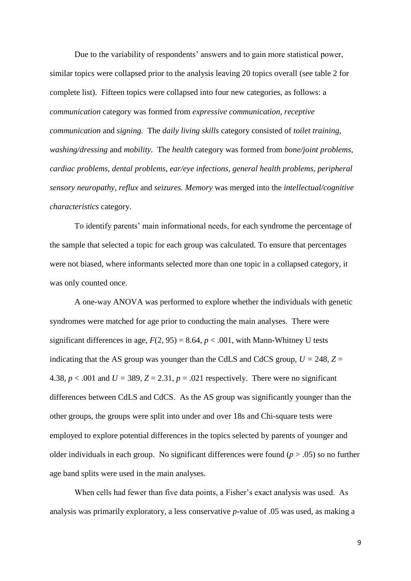Due to the variability of respondents' answers and to gain more statistical power, similar topics were collapsed prior to the analysis leaving 20 topics overall (see table 2 for complete list). Fifteen topics were collapsed into four new categories, as follows: a *communication* category was formed from *expressive communication, receptive communication* and *signing.* The *daily living skills* category consisted of *toilet training, washing/dressing* and *mobility.* The *health* category was formed from *bone/joint problems, cardiac problems, dental problems, ear/eye infections, general health problems, peripheral sensory neuropathy, reflux* and *seizures. Memory* was merged into the *intellectual/cognitive characteristics* category.

To identify parents' main informational needs, for each syndrome the percentage of the sample that selected a topic for each group was calculated. To ensure that percentages were not biased, where informants selected more than one topic in a collapsed category, it was only counted once.

A one-way ANOVA was performed to explore whether the individuals with genetic syndromes were matched for age prior to conducting the main analyses. There were significant differences in age,  $F(2, 95) = 8.64$ ,  $p < .001$ , with Mann-Whitney U tests indicating that the AS group was younger than the CdLS and CdCS group,  $U = 248$ ,  $Z =$ 4.38,  $p < .001$  and  $U = 389$ ,  $Z = 2.31$ ,  $p = .021$  respectively. There were no significant differences between CdLS and CdCS. As the AS group was significantly younger than the other groups, the groups were split into under and over 18s and Chi-square tests were employed to explore potential differences in the topics selected by parents of younger and older individuals in each group. No significant differences were found (*p* > .05) so no further age band splits were used in the main analyses.

When cells had fewer than five data points, a Fisher's exact analysis was used. As analysis was primarily exploratory, a less conservative *p*-value of .05 was used, as making a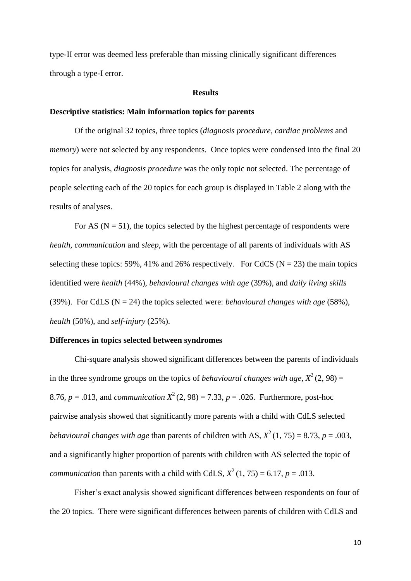type-II error was deemed less preferable than missing clinically significant differences through a type-I error.

#### **Results**

#### **Descriptive statistics: Main information topics for parents**

Of the original 32 topics, three topics (*diagnosis procedure, cardiac problems* and *memory*) were not selected by any respondents. Once topics were condensed into the final 20 topics for analysis, *diagnosis procedure* was the only topic not selected. The percentage of people selecting each of the 20 topics for each group is displayed in Table 2 along with the results of analyses.

For AS ( $N = 51$ ), the topics selected by the highest percentage of respondents were *health, communication* and *sleep*, with the percentage of all parents of individuals with AS selecting these topics: 59%, 41% and 26% respectively. For CdCS ( $N = 23$ ) the main topics identified were *health* (44%), *behavioural changes with age* (39%), and *daily living skills*  (39%). For CdLS ( $N = 24$ ) the topics selected were: *behavioural changes with age* (58%), *health* (50%), and *self-injury* (25%).

#### **Differences in topics selected between syndromes**

Chi-square analysis showed significant differences between the parents of individuals in the three syndrome groups on the topics of *behavioural changes with age*,  $X^2(2, 98) =$ 8.76,  $p = .013$ , and *communication*  $X^2(2, 98) = 7.33$ ,  $p = .026$ . Furthermore, post-hoc pairwise analysis showed that significantly more parents with a child with CdLS selected *behavioural changes with age than parents of children with AS,*  $X^2(1, 75) = 8.73$ *,*  $p = .003$ *,* and a significantly higher proportion of parents with children with AS selected the topic of *communication* than parents with a child with CdLS,  $X^2(1, 75) = 6.17$ ,  $p = .013$ .

Fisher's exact analysis showed significant differences between respondents on four of the 20 topics. There were significant differences between parents of children with CdLS and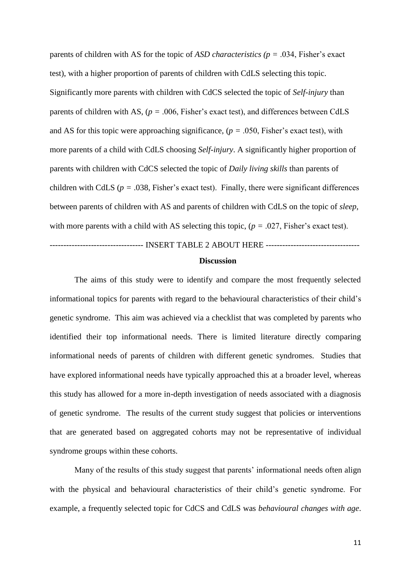parents of children with AS for the topic of *ASD characteristics (p =* .034, Fisher's exact test), with a higher proportion of parents of children with CdLS selecting this topic. Significantly more parents with children with CdCS selected the topic of *Self-injury* than parents of children with AS, (*p =* .006, Fisher's exact test), and differences between CdLS and AS for this topic were approaching significance,  $(p = .050,$  Fisher's exact test), with more parents of a child with CdLS choosing *Self-injury*. A significantly higher proportion of parents with children with CdCS selected the topic of *Daily living skills* than parents of children with CdLS ( $p = .038$ , Fisher's exact test). Finally, there were significant differences between parents of children with AS and parents of children with CdLS on the topic of *sleep*, with more parents with a child with AS selecting this topic, (*p =* .027, Fisher's exact test).

## ---------------------------------- INSERT TABLE 2 ABOUT HERE ---------------------------------- **Discussion**

The aims of this study were to identify and compare the most frequently selected informational topics for parents with regard to the behavioural characteristics of their child's genetic syndrome. This aim was achieved via a checklist that was completed by parents who identified their top informational needs. There is limited literature directly comparing informational needs of parents of children with different genetic syndromes. Studies that have explored informational needs have typically approached this at a broader level, whereas this study has allowed for a more in-depth investigation of needs associated with a diagnosis of genetic syndrome. The results of the current study suggest that policies or interventions that are generated based on aggregated cohorts may not be representative of individual syndrome groups within these cohorts.

Many of the results of this study suggest that parents' informational needs often align with the physical and behavioural characteristics of their child's genetic syndrome. For example, a frequently selected topic for CdCS and CdLS was *behavioural changes with age*.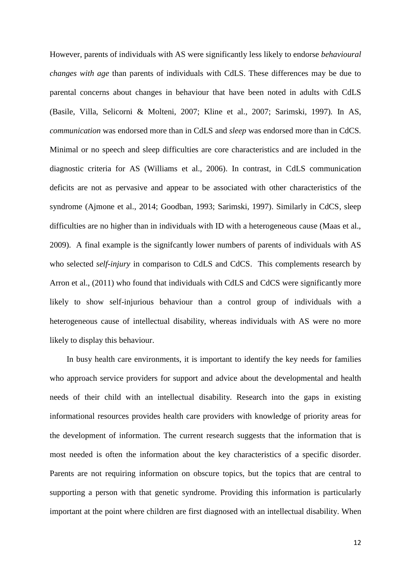However, parents of individuals with AS were significantly less likely to endorse *behavioural changes with age* than parents of individuals with CdLS. These differences may be due to parental concerns about changes in behaviour that have been noted in adults with CdLS (Basile, Villa, Selicorni & Molteni, 2007; Kline et al., 2007; Sarimski, 1997)*.* In AS, *communication* was endorsed more than in CdLS and *sleep* was endorsed more than in CdCS*.* Minimal or no speech and sleep difficulties are core characteristics and are included in the diagnostic criteria for AS (Williams et al., 2006). In contrast, in CdLS communication deficits are not as pervasive and appear to be associated with other characteristics of the syndrome (Ajmone et al., 2014; Goodban, 1993; Sarimski, 1997). Similarly in CdCS, sleep difficulties are no higher than in individuals with ID with a heterogeneous cause (Maas et al., 2009). A final example is the signifcantly lower numbers of parents of individuals with AS who selected *self-injury* in comparison to CdLS and CdCS. This complements research by Arron et al., (2011) who found that individuals with CdLS and CdCS were significantly more likely to show self-injurious behaviour than a control group of individuals with a heterogeneous cause of intellectual disability, whereas individuals with AS were no more likely to display this behaviour.

In busy health care environments, it is important to identify the key needs for families who approach service providers for support and advice about the developmental and health needs of their child with an intellectual disability. Research into the gaps in existing informational resources provides health care providers with knowledge of priority areas for the development of information. The current research suggests that the information that is most needed is often the information about the key characteristics of a specific disorder. Parents are not requiring information on obscure topics, but the topics that are central to supporting a person with that genetic syndrome. Providing this information is particularly important at the point where children are first diagnosed with an intellectual disability. When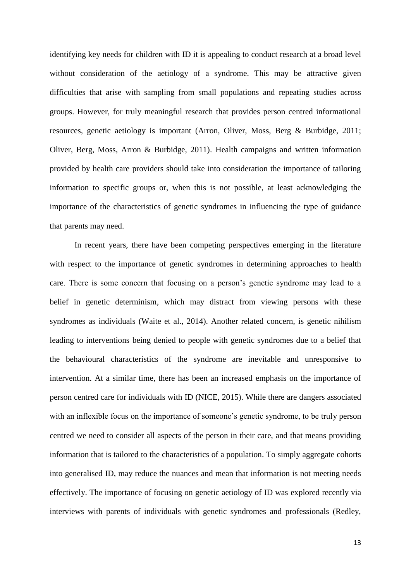identifying key needs for children with ID it is appealing to conduct research at a broad level without consideration of the aetiology of a syndrome. This may be attractive given difficulties that arise with sampling from small populations and repeating studies across groups. However, for truly meaningful research that provides person centred informational resources, genetic aetiology is important (Arron, Oliver, Moss, Berg & Burbidge, 2011; Oliver, Berg, Moss, Arron & Burbidge, 2011). Health campaigns and written information provided by health care providers should take into consideration the importance of tailoring information to specific groups or, when this is not possible, at least acknowledging the importance of the characteristics of genetic syndromes in influencing the type of guidance that parents may need.

In recent years, there have been competing perspectives emerging in the literature with respect to the importance of genetic syndromes in determining approaches to health care. There is some concern that focusing on a person's genetic syndrome may lead to a belief in genetic determinism, which may distract from viewing persons with these syndromes as individuals (Waite et al., 2014). Another related concern, is genetic nihilism leading to interventions being denied to people with genetic syndromes due to a belief that the behavioural characteristics of the syndrome are inevitable and unresponsive to intervention. At a similar time, there has been an increased emphasis on the importance of person centred care for individuals with ID (NICE, 2015). While there are dangers associated with an inflexible focus on the importance of someone's genetic syndrome, to be truly person centred we need to consider all aspects of the person in their care, and that means providing information that is tailored to the characteristics of a population. To simply aggregate cohorts into generalised ID, may reduce the nuances and mean that information is not meeting needs effectively. The importance of focusing on genetic aetiology of ID was explored recently via interviews with parents of individuals with genetic syndromes and professionals (Redley,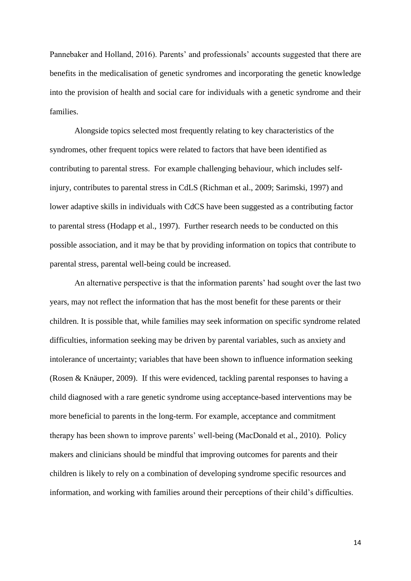Pannebaker and Holland, 2016). Parents' and professionals' accounts suggested that there are benefits in the medicalisation of genetic syndromes and incorporating the genetic knowledge into the provision of health and social care for individuals with a genetic syndrome and their families.

Alongside topics selected most frequently relating to key characteristics of the syndromes, other frequent topics were related to factors that have been identified as contributing to parental stress. For example challenging behaviour, which includes selfinjury, contributes to parental stress in CdLS (Richman et al., 2009; Sarimski, 1997) and lower adaptive skills in individuals with CdCS have been suggested as a contributing factor to parental stress (Hodapp et al., 1997). Further research needs to be conducted on this possible association, and it may be that by providing information on topics that contribute to parental stress, parental well-being could be increased.

An alternative perspective is that the information parents' had sought over the last two years, may not reflect the information that has the most benefit for these parents or their children. It is possible that, while families may seek information on specific syndrome related difficulties, information seeking may be driven by parental variables, such as anxiety and intolerance of uncertainty; variables that have been shown to influence information seeking (Rosen & Knäuper, 2009). If this were evidenced, tackling parental responses to having a child diagnosed with a rare genetic syndrome using acceptance-based interventions may be more beneficial to parents in the long-term. For example, acceptance and commitment therapy has been shown to improve parents' well-being (MacDonald et al., 2010). Policy makers and clinicians should be mindful that improving outcomes for parents and their children is likely to rely on a combination of developing syndrome specific resources and information, and working with families around their perceptions of their child's difficulties.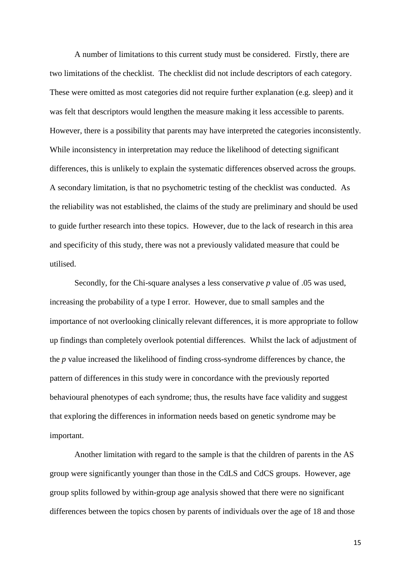A number of limitations to this current study must be considered. Firstly, there are two limitations of the checklist. The checklist did not include descriptors of each category. These were omitted as most categories did not require further explanation (e.g. sleep) and it was felt that descriptors would lengthen the measure making it less accessible to parents. However, there is a possibility that parents may have interpreted the categories inconsistently. While inconsistency in interpretation may reduce the likelihood of detecting significant differences, this is unlikely to explain the systematic differences observed across the groups. A secondary limitation, is that no psychometric testing of the checklist was conducted. As the reliability was not established, the claims of the study are preliminary and should be used to guide further research into these topics. However, due to the lack of research in this area and specificity of this study, there was not a previously validated measure that could be utilised.

Secondly, for the Chi-square analyses a less conservative *p* value of .05 was used, increasing the probability of a type I error. However, due to small samples and the importance of not overlooking clinically relevant differences, it is more appropriate to follow up findings than completely overlook potential differences. Whilst the lack of adjustment of the *p* value increased the likelihood of finding cross-syndrome differences by chance, the pattern of differences in this study were in concordance with the previously reported behavioural phenotypes of each syndrome; thus, the results have face validity and suggest that exploring the differences in information needs based on genetic syndrome may be important.

Another limitation with regard to the sample is that the children of parents in the AS group were significantly younger than those in the CdLS and CdCS groups. However, age group splits followed by within-group age analysis showed that there were no significant differences between the topics chosen by parents of individuals over the age of 18 and those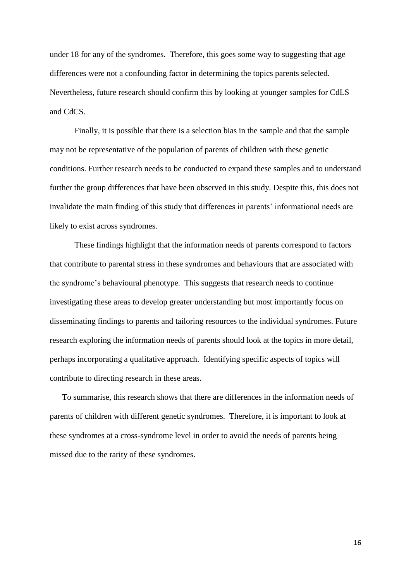under 18 for any of the syndromes. Therefore, this goes some way to suggesting that age differences were not a confounding factor in determining the topics parents selected. Nevertheless, future research should confirm this by looking at younger samples for CdLS and CdCS.

Finally, it is possible that there is a selection bias in the sample and that the sample may not be representative of the population of parents of children with these genetic conditions. Further research needs to be conducted to expand these samples and to understand further the group differences that have been observed in this study. Despite this, this does not invalidate the main finding of this study that differences in parents' informational needs are likely to exist across syndromes.

These findings highlight that the information needs of parents correspond to factors that contribute to parental stress in these syndromes and behaviours that are associated with the syndrome's behavioural phenotype. This suggests that research needs to continue investigating these areas to develop greater understanding but most importantly focus on disseminating findings to parents and tailoring resources to the individual syndromes. Future research exploring the information needs of parents should look at the topics in more detail, perhaps incorporating a qualitative approach. Identifying specific aspects of topics will contribute to directing research in these areas.

To summarise, this research shows that there are differences in the information needs of parents of children with different genetic syndromes. Therefore, it is important to look at these syndromes at a cross-syndrome level in order to avoid the needs of parents being missed due to the rarity of these syndromes.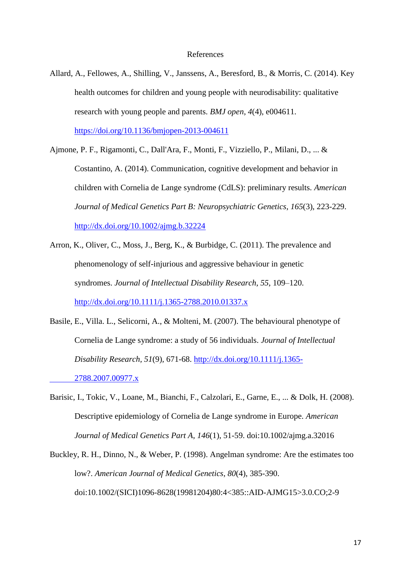Allard, A., Fellowes, A., Shilling, V., Janssens, A., Beresford, B., & Morris, C. (2014). Key health outcomes for children and young people with neurodisability: qualitative research with young people and parents. *BMJ open*, *4*(4), e004611. <https://doi.org/10.1136/bmjopen-2013-004611>

Ajmone, P. F., Rigamonti, C., Dall'Ara, F., Monti, F., Vizziello, P., Milani, D., ... & Costantino, A. (2014). Communication, cognitive development and behavior in children with Cornelia de Lange syndrome (CdLS): preliminary results. *American Journal of Medical Genetics Part B: Neuropsychiatric Genetics*, *165*(3), 223-229.

<http://dx.doi.org/10.1002/ajmg.b.32224>

- Arron, K., Oliver, C., Moss, J., Berg, K., & Burbidge, C. (2011). The prevalence and phenomenology of self-injurious and aggressive behaviour in genetic syndromes. *Journal of Intellectual Disability Research*, *55*, 109–120. <http://dx.doi.org/10.1111/j.1365-2788.2010.01337.x>
- Basile, E., Villa. L., Selicorni, A., & Molteni, M. (2007). The behavioural phenotype of Cornelia de Lange syndrome: a study of 56 individuals. *Journal of Intellectual Disability Research, 51*(9)*,* 671-68. [http://dx.doi.org/10.1111/j.1365-](http://dx.doi.org/10.1111/j.1365-%092788.2007.00977.x) [2788.2007.00977.x](http://dx.doi.org/10.1111/j.1365-%092788.2007.00977.x)
- Barisic, I., Tokic, V., Loane, M., Bianchi, F., Calzolari, E., Garne, E., ... & Dolk, H. (2008). Descriptive epidemiology of Cornelia de Lange syndrome in Europe. *American Journal of Medical Genetics Part A*, *146*(1), 51-59. doi:10.1002/ajmg.a.32016

Buckley, R. H., Dinno, N., & Weber, P. (1998). Angelman syndrome: Are the estimates too low?. *American Journal of Medical Genetics*, *80*(4), 385-390. doi:10.1002/(SICI)1096-8628(19981204)80:4<385::AID-AJMG15>3.0.CO;2-9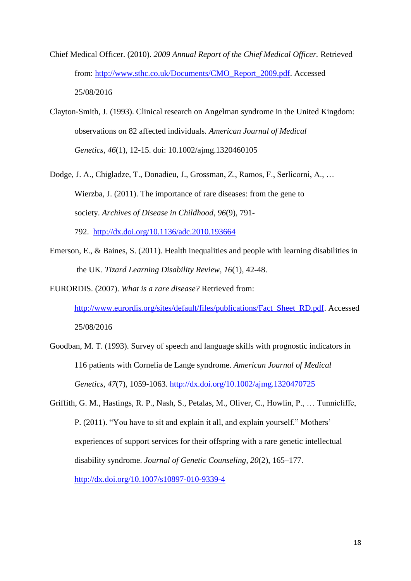- Chief Medical Officer. (2010). *2009 Annual Report of the Chief Medical Officer.* Retrieved from: [http://www.sthc.co.uk/Documents/CMO\\_Report\\_2009.pdf.](http://www.sthc.co.uk/Documents/CMO_Report_2009.pdf) Accessed 25/08/2016
- Clayton‐Smith, J. (1993). Clinical research on Angelman syndrome in the United Kingdom: observations on 82 affected individuals. *American Journal of Medical Genetics*, *46*(1), 12-15. doi: 10.1002/ajmg.1320460105
- Dodge, J. A., Chigladze, T., Donadieu, J., Grossman, Z., Ramos, F., Serlicorni, A., … Wierzba, J. (2011). The importance of rare diseases: from the gene to society. *Archives of Disease in Childhood*, *96*(9), 791- 792. <http://dx.doi.org/10.1136/adc.2010.193664>
- Emerson, E., & Baines, S. (2011). Health inequalities and people with learning disabilities in the UK. *Tizard Learning Disability Review*, *16*(1), 42-48.

# EURORDIS. (2007). *What is a rare disease?* Retrieved from: [http://www.eurordis.org/sites/default/files/publications/Fact\\_Sheet\\_RD.pdf.](http://www.eurordis.org/sites/default/files/publications/Fact_Sheet_RD.pdf) Accessed 25/08/2016

- Goodban, M. T. (1993). Survey of speech and language skills with prognostic indicators in 116 patients with Cornelia de Lange syndrome. *American Journal of Medical Genetics*, *47*(7), 1059-1063.<http://dx.doi.org/10.1002/ajmg.1320470725>
- Griffith, G. M., Hastings, R. P., Nash, S., Petalas, M., Oliver, C., Howlin, P., … Tunnicliffe, P. (2011). "You have to sit and explain it all, and explain yourself." Mothers' experiences of support services for their offspring with a rare genetic intellectual disability syndrome. *Journal of Genetic Counseling*, *20*(2), 165–177. <http://dx.doi.org/10.1007/s10897-010-9339-4>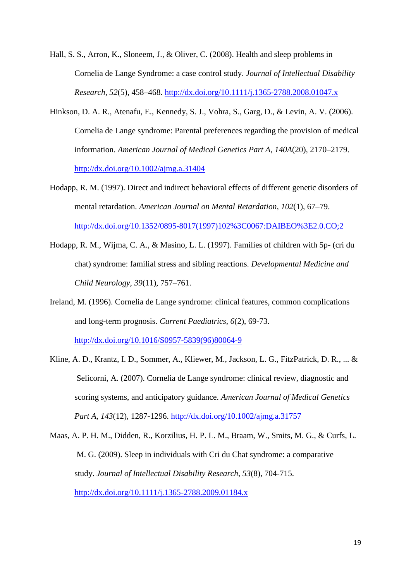Hall, S. S., Arron, K., Sloneem, J., & Oliver, C. (2008). Health and sleep problems in Cornelia de Lange Syndrome: a case control study. *Journal of Intellectual Disability Research*, *52*(5), 458–468. <http://dx.doi.org/10.1111/j.1365-2788.2008.01047.x>

- Hinkson, D. A. R., Atenafu, E., Kennedy, S. J., Vohra, S., Garg, D., & Levin, A. V. (2006). Cornelia de Lange syndrome: Parental preferences regarding the provision of medical information. *American Journal of Medical Genetics Part A*, *140A*(20), 2170–2179. <http://dx.doi.org/10.1002/ajmg.a.31404>
- Hodapp, R. M. (1997). Direct and indirect behavioral effects of different genetic disorders of mental retardation. *American Journal on Mental Retardation*, *102*(1), 67–79. [http://dx.doi.org/10.1352/0895-8017\(1997\)102%3C0067:DAIBEO%3E2.0.CO;2](http://dx.doi.org/10.1352/0895-8017(1997)102%3C0067:DAIBEO%3E2.0.CO;2)
- Hodapp, R. M., Wijma, C. A., & Masino, L. L. (1997). Families of children with 5p- (cri du chat) syndrome: familial stress and sibling reactions. *Developmental Medicine and Child Neurology*, *39*(11), 757–761.
- Ireland, M. (1996). Cornelia de Lange syndrome: clinical features, common complications and long-term prognosis. *Current Paediatrics, 6*(2), 69-73. [http://dx.doi.org/10.1016/S0957-5839\(96\)80064-9](http://dx.doi.org/10.1016/S0957-5839(96)80064-9)
- Kline, A. D., Krantz, I. D., Sommer, A., Kliewer, M., Jackson, L. G., FitzPatrick, D. R., ... & Selicorni, A. (2007). Cornelia de Lange syndrome: clinical review, diagnostic and scoring systems, and anticipatory guidance. *American Journal of Medical Genetics Part A*, *143*(12), 1287-1296.<http://dx.doi.org/10.1002/ajmg.a.31757>
- Maas, A. P. H. M., Didden, R., Korzilius, H. P. L. M., Braam, W., Smits, M. G., & Curfs, L. M. G. (2009). Sleep in individuals with Cri du Chat syndrome: a comparative study. *Journal of Intellectual Disability Research*, *53*(8), 704-715. <http://dx.doi.org/10.1111/j.1365-2788.2009.01184.x>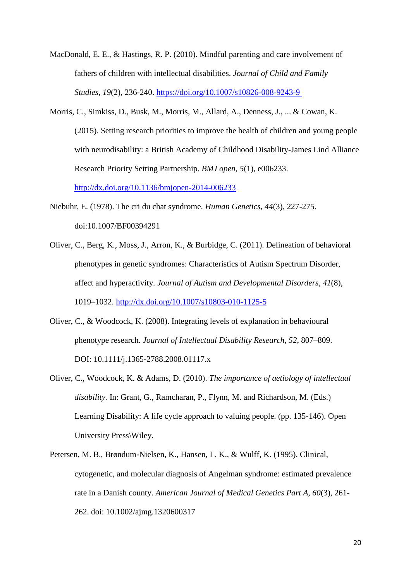- MacDonald, E. E., & Hastings, R. P. (2010). Mindful parenting and care involvement of fathers of children with intellectual disabilities. *Journal of Child and Family Studies*, *19*(2), 236-240.<https://doi.org/10.1007/s10826-008-9243-9>
- Morris, C., Simkiss, D., Busk, M., Morris, M., Allard, A., Denness, J., ... & Cowan, K. (2015). Setting research priorities to improve the health of children and young people with neurodisability: a British Academy of Childhood Disability-James Lind Alliance Research Priority Setting Partnership. *BMJ open*, *5*(1), e006233. <http://dx.doi.org/10.1136/bmjopen-2014-006233>
- Niebuhr, E. (1978). The cri du chat syndrome. *Human Genetics*, *44*(3), 227-275. doi:10.1007/BF00394291
- Oliver, C., Berg, K., Moss, J., Arron, K., & Burbidge, C. (2011). Delineation of behavioral phenotypes in genetic syndromes: Characteristics of Autism Spectrum Disorder, affect and hyperactivity. *Journal of Autism and Developmental Disorders*, *41*(8), 1019–1032. <http://dx.doi.org/10.1007/s10803-010-1125-5>
- Oliver, C., & Woodcock, K. (2008). Integrating levels of explanation in behavioural phenotype research. *Journal of Intellectual Disability Research*, *52*, 807–809. DOI: 10.1111/j.1365-2788.2008.01117.x
- Oliver, C., Woodcock, K. & Adams, D. (2010). *The importance of aetiology of intellectual disability.* In: Grant, G., Ramcharan, P., Flynn, M. and Richardson, M. (Eds.) Learning Disability: A life cycle approach to valuing people. (pp. 135-146). Open University Press\Wiley.
- Petersen, M. B., Brøndum‐Nielsen, K., Hansen, L. K., & Wulff, K. (1995). Clinical, cytogenetic, and molecular diagnosis of Angelman syndrome: estimated prevalence rate in a Danish county. *American Journal of Medical Genetics Part A*, *60*(3), 261- 262. doi: 10.1002/ajmg.1320600317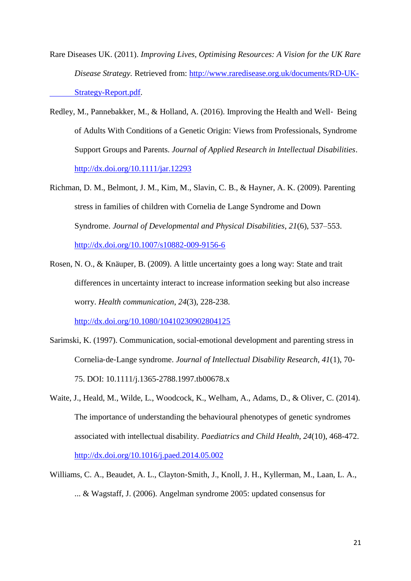- Rare Diseases UK. (2011). *Improving Lives, Optimising Resources: A Vision for the UK Rare Disease Strategy.* Retrieved from: [http://www.raredisease.org.uk/documents/RD-UK-](http://www.raredisease.org.uk/documents/RD-UK-%09Strategy-Report.pdf)[Strategy-Report.pdf.](http://www.raredisease.org.uk/documents/RD-UK-%09Strategy-Report.pdf)
- Redley, M., Pannebakker, M., & Holland, A. (2016). Improving the Health and Well‐ Being of Adults With Conditions of a Genetic Origin: Views from Professionals, Syndrome Support Groups and Parents. *Journal of Applied Research in Intellectual Disabilities*. <http://dx.doi.org/10.1111/jar.12293>
- Richman, D. M., Belmont, J. M., Kim, M., Slavin, C. B., & Hayner, A. K. (2009). Parenting stress in families of children with Cornelia de Lange Syndrome and Down Syndrome. *Journal of Developmental and Physical Disabilities*, *21*(6), 537–553. <http://dx.doi.org/10.1007/s10882-009-9156-6>
- Rosen, N. O., & Knäuper, B. (2009). A little uncertainty goes a long way: State and trait differences in uncertainty interact to increase information seeking but also increase worry. *Health communication*, *24*(3), 228-238. <http://dx.doi.org/10.1080/10410230902804125>
- Sarimski, K. (1997). Communication, social‐emotional development and parenting stress in Cornelia‐de‐Lange syndrome. *Journal of Intellectual Disability Research*, *41*(1), 70- 75. DOI: 10.1111/j.1365-2788.1997.tb00678.x
- Waite, J., Heald, M., Wilde, L., Woodcock, K., Welham, A., Adams, D., & Oliver, C. (2014). The importance of understanding the behavioural phenotypes of genetic syndromes associated with intellectual disability. *Paediatrics and Child Health*, *24*(10), 468-472. <http://dx.doi.org/10.1016/j.paed.2014.05.002>
- Williams, C. A., Beaudet, A. L., Clayton‐Smith, J., Knoll, J. H., Kyllerman, M., Laan, L. A., ... & Wagstaff, J. (2006). Angelman syndrome 2005: updated consensus for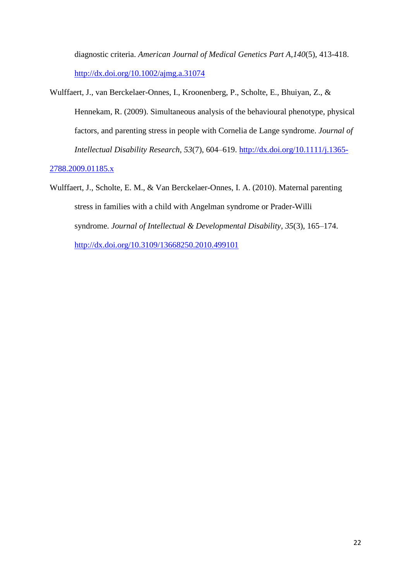diagnostic criteria. *American Journal of Medical Genetics Part A*,*140*(5), 413-418. <http://dx.doi.org/10.1002/ajmg.a.31074>

Wulffaert, J., van Berckelaer-Onnes, I., Kroonenberg, P., Scholte, E., Bhuiyan, Z., & Hennekam, R. (2009). Simultaneous analysis of the behavioural phenotype, physical factors, and parenting stress in people with Cornelia de Lange syndrome. *Journal of Intellectual Disability Research*, *53*(7), 604–619. [http://dx.doi.org/10.1111/j.1365-](http://dx.doi.org/10.1111/j.1365-2788.2009.01185.x)

#### [2788.2009.01185.x](http://dx.doi.org/10.1111/j.1365-2788.2009.01185.x)

Wulffaert, J., Scholte, E. M., & Van Berckelaer-Onnes, I. A. (2010). Maternal parenting stress in families with a child with Angelman syndrome or Prader-Willi syndrome. *Journal of Intellectual & Developmental Disability*, *35*(3), 165–174. <http://dx.doi.org/10.3109/13668250.2010.499101>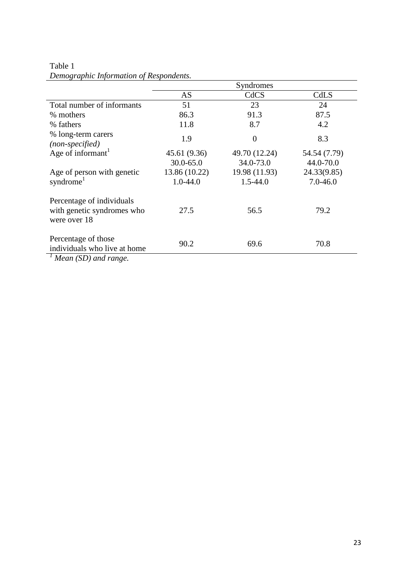### Table 1 *Demographic Information of Respondents.*

|                                                                                          | Syndromes     |                |              |  |
|------------------------------------------------------------------------------------------|---------------|----------------|--------------|--|
|                                                                                          | AS            | CdCS           | CdLS         |  |
| Total number of informants                                                               | 51            | 23             | 24           |  |
| % mothers                                                                                | 86.3          | 91.3           | 87.5         |  |
| % fathers                                                                                | 11.8          | 8.7            | 4.2          |  |
| % long-term carers<br>(non-specified)                                                    | 1.9           | $\overline{0}$ | 8.3          |  |
| Age of informant <sup>1</sup>                                                            | 45.61 (9.36)  | 49.70 (12.24)  | 54.54 (7.79) |  |
|                                                                                          | $30.0 - 65.0$ | 34.0-73.0      | 44.0-70.0    |  |
| Age of person with genetic                                                               | 13.86 (10.22) | 19.98 (11.93)  | 24.33(9.85)  |  |
| syndrome <sup>1</sup>                                                                    | $1.0 - 44.0$  | $1.5 - 44.0$   | $7.0 - 46.0$ |  |
| Percentage of individuals<br>with genetic syndromes who<br>were over 18                  | 27.5          | 56.5           | 79.2         |  |
| Percentage of those<br>individuals who live at home<br>$\frac{1}{1}$ Magn (SD) and range | 90.2          | 69.6           | 70.8         |  |

*<sup>1</sup> Mean (SD) and range.*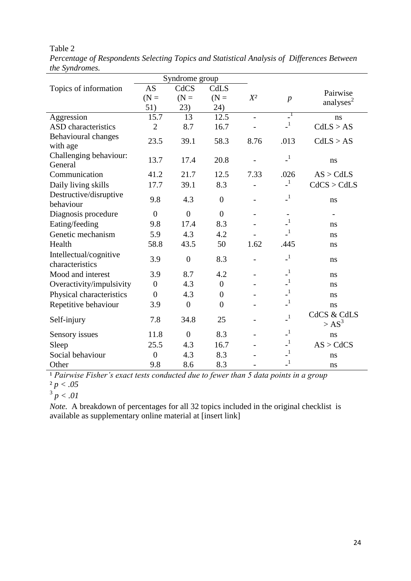| Syndrome group                            |                  |                |                |                |                            |                                   |
|-------------------------------------------|------------------|----------------|----------------|----------------|----------------------------|-----------------------------------|
| Topics of information                     | <b>AS</b>        | CdCS           | CdLS           |                |                            | Pairwise                          |
|                                           | $(N =$           | $(N =$         | $(N =$         | $X^2$          | $\overline{p}$             | analyses $2$                      |
|                                           | 51)              | 23)            | 24)            |                |                            |                                   |
| Aggression                                | 15.7             | 13             | 12.5           | $\overline{a}$ | $\mathbf{I}$               | ns                                |
| <b>ASD</b> characteristics                | $\overline{2}$   | 8.7            | 16.7           |                | $\mathbf{I}$               | CdLS > AS                         |
| Behavioural changes                       | 23.5             | 39.1           | 58.3           | 8.76           | .013                       | CdLS > AS                         |
| with age                                  |                  |                |                |                |                            |                                   |
| Challenging behaviour:<br>General         | 13.7             | 17.4           | 20.8           |                | $\_^1$                     | ns                                |
| Communication                             | 41.2             | 21.7           | 12.5           | 7.33           | .026                       | AS > CdLS                         |
| Daily living skills                       | 17.7             | 39.1           | 8.3            |                | $\mathbf{I}$               | CdCS > CdLS                       |
| Destructive/disruptive                    | 9.8              | 4.3            | $\overline{0}$ |                | $\mathbf{I}$               |                                   |
| behaviour                                 |                  |                |                |                |                            | ns                                |
| Diagnosis procedure                       | $\overline{0}$   | $\overline{0}$ | $\overline{0}$ |                |                            |                                   |
| Eating/feeding                            | 9.8              | 17.4           | 8.3            |                | $\_^1$                     | ns                                |
| Genetic mechanism                         | 5.9              | 4.3            | 4.2            |                | $\mathbf{1}$               | ns                                |
| Health                                    | 58.8             | 43.5           | 50             | 1.62           | .445                       | ns                                |
| Intellectual/cognitive<br>characteristics | 3.9              | $\overline{0}$ | 8.3            |                | $\mathbf{I}$               | ns                                |
| Mood and interest                         | 3.9              | 8.7            | 4.2            |                | $\mathbf{I}$               | ns                                |
| Overactivity/impulsivity                  | $\boldsymbol{0}$ | 4.3            | $\overline{0}$ |                | $\overline{\phantom{0}}^1$ | ns                                |
| Physical characteristics                  | $\overline{0}$   | 4.3            | $\overline{0}$ |                | $\_^{\rm 1}$               | ns                                |
| Repetitive behaviour                      | 3.9              | $\overline{0}$ | $\overline{0}$ |                | $\mathbf{I}$               | ns                                |
| Self-injury                               | 7.8              | 34.8           | 25             |                | $\_^1$                     | <b>CdCS &amp; CdLS</b><br>$>AS^3$ |
| Sensory issues                            | 11.8             | $\overline{0}$ | 8.3            |                | $\mathbf{I}$               | ns                                |
| Sleep                                     | 25.5             | 4.3            | 16.7           |                | $\mathbf{I}$               | AS > CdCS                         |
| Social behaviour                          | $\overline{0}$   | 4.3            | 8.3            |                | $\mathbf{I}$               | ns                                |
| Other                                     | 9.8              | 8.6            | 8.3            |                | $\mathbf{I}$               | ns                                |

Table 2 *Percentage of Respondents Selecting Topics and Statistical Analysis of Differences Between the Syndromes.*

<sup>1</sup> Pairwise Fisher's exact tests conducted due to fewer than 5 data points in a group ² *p < .05*

 $3 p < .01$ 

*Note.* A breakdown of percentages for all 32 topics included in the original checklist is available as supplementary online material at [insert link]